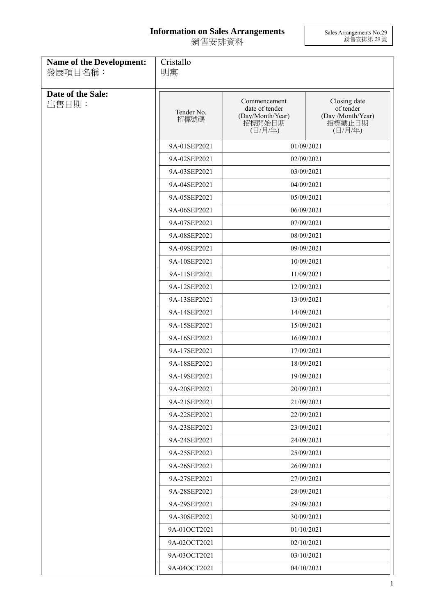## **Information on Sales Arrangements** 銷售安排資料

Sales Arrangements No.29 銷售安排第 29 號

| <b>Name of the Development:</b><br>發展項目名稱: | Cristallo<br>明寓    |                                                                         |                                                                     |  |
|--------------------------------------------|--------------------|-------------------------------------------------------------------------|---------------------------------------------------------------------|--|
| Date of the Sale:<br>出售日期:                 | Tender No.<br>招標號碼 | Commencement<br>date of tender<br>(Day/Month/Year)<br>招標開始日期<br>(日/月/年) | Closing date<br>of tender<br>(Day /Month/Year)<br>招標截止日期<br>(日/月/年) |  |
|                                            | 9A-01SEP2021       | 01/09/2021                                                              |                                                                     |  |
|                                            | 9A-02SEP2021       | 02/09/2021                                                              |                                                                     |  |
|                                            | 9A-03SEP2021       |                                                                         | 03/09/2021                                                          |  |
|                                            | 9A-04SEP2021       | 04/09/2021                                                              |                                                                     |  |
|                                            | 9A-05SEP2021       |                                                                         | 05/09/2021                                                          |  |
|                                            | 9A-06SEP2021       |                                                                         | 06/09/2021                                                          |  |
|                                            | 9A-07SEP2021       |                                                                         | 07/09/2021                                                          |  |
|                                            | 9A-08SEP2021       |                                                                         | 08/09/2021                                                          |  |
|                                            | 9A-09SEP2021       |                                                                         | 09/09/2021                                                          |  |
|                                            | 9A-10SEP2021       |                                                                         | 10/09/2021                                                          |  |
|                                            | 9A-11SEP2021       |                                                                         | 11/09/2021                                                          |  |
|                                            | 9A-12SEP2021       | 12/09/2021                                                              |                                                                     |  |
|                                            | 9A-13SEP2021       | 13/09/2021                                                              |                                                                     |  |
|                                            | 9A-14SEP2021       |                                                                         | 14/09/2021                                                          |  |
|                                            | 9A-15SEP2021       |                                                                         | 15/09/2021                                                          |  |
|                                            | 9A-16SEP2021       |                                                                         | 16/09/2021                                                          |  |
|                                            | 9A-17SEP2021       |                                                                         | 17/09/2021                                                          |  |
|                                            | 9A-18SEP2021       |                                                                         | 18/09/2021                                                          |  |
|                                            | 9A-19SEP2021       |                                                                         | 19/09/2021                                                          |  |
|                                            | 9A-20SEP2021       | 20/09/2021                                                              |                                                                     |  |
|                                            | 9A-21SEP2021       |                                                                         | 21/09/2021                                                          |  |
|                                            | 9A-22SEP2021       |                                                                         | 22/09/2021                                                          |  |
|                                            | 9A-23SEP2021       |                                                                         | 23/09/2021                                                          |  |
|                                            | 9A-24SEP2021       |                                                                         | 24/09/2021                                                          |  |
|                                            | 9A-25SEP2021       |                                                                         | 25/09/2021                                                          |  |
|                                            | 9A-26SEP2021       |                                                                         | 26/09/2021                                                          |  |
|                                            | 9A-27SEP2021       |                                                                         | 27/09/2021                                                          |  |
|                                            | 9A-28SEP2021       |                                                                         | 28/09/2021                                                          |  |
|                                            | 9A-29SEP2021       |                                                                         | 29/09/2021                                                          |  |
|                                            | 9A-30SEP2021       |                                                                         | 30/09/2021                                                          |  |
|                                            | 9A-01OCT2021       |                                                                         | 01/10/2021                                                          |  |
|                                            | 9A-02OCT2021       |                                                                         | 02/10/2021                                                          |  |
|                                            | 9A-03OCT2021       |                                                                         | 03/10/2021                                                          |  |
|                                            | 9A-04OCT2021       | 04/10/2021                                                              |                                                                     |  |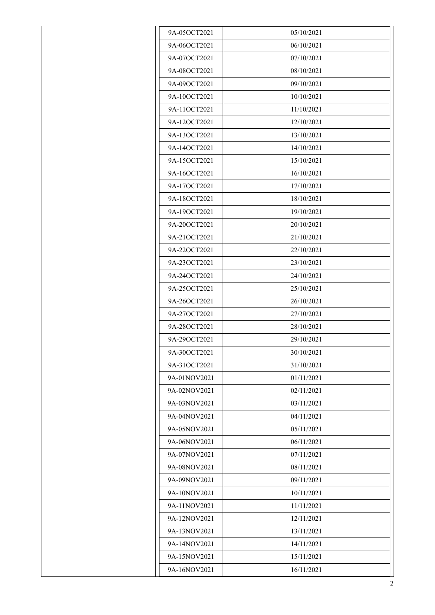| 9A-05OCT2021 | 05/10/2021 |
|--------------|------------|
| 9A-06OCT2021 | 06/10/2021 |
| 9A-07OCT2021 | 07/10/2021 |
|              |            |
| 9A-08OCT2021 | 08/10/2021 |
| 9A-09OCT2021 | 09/10/2021 |
| 9A-10OCT2021 | 10/10/2021 |
| 9A-11OCT2021 | 11/10/2021 |
| 9A-12OCT2021 | 12/10/2021 |
| 9A-13OCT2021 | 13/10/2021 |
| 9A-14OCT2021 | 14/10/2021 |
| 9A-15OCT2021 | 15/10/2021 |
| 9A-16OCT2021 | 16/10/2021 |
| 9A-17OCT2021 | 17/10/2021 |
| 9A-18OCT2021 | 18/10/2021 |
| 9A-19OCT2021 | 19/10/2021 |
| 9A-20OCT2021 | 20/10/2021 |
| 9A-21OCT2021 | 21/10/2021 |
| 9A-22OCT2021 | 22/10/2021 |
| 9A-23OCT2021 | 23/10/2021 |
| 9A-24OCT2021 | 24/10/2021 |
| 9A-25OCT2021 | 25/10/2021 |
| 9A-26OCT2021 | 26/10/2021 |
| 9A-27OCT2021 | 27/10/2021 |
| 9A-28OCT2021 | 28/10/2021 |
| 9A-29OCT2021 | 29/10/2021 |
| 9A-30OCT2021 | 30/10/2021 |
| 9A-31OCT2021 | 31/10/2021 |
| 9A-01NOV2021 | 01/11/2021 |
| 9A-02NOV2021 | 02/11/2021 |
| 9A-03NOV2021 | 03/11/2021 |
| 9A-04NOV2021 | 04/11/2021 |
| 9A-05NOV2021 | 05/11/2021 |
| 9A-06NOV2021 | 06/11/2021 |
| 9A-07NOV2021 | 07/11/2021 |
| 9A-08NOV2021 | 08/11/2021 |
| 9A-09NOV2021 | 09/11/2021 |
| 9A-10NOV2021 | 10/11/2021 |
| 9A-11NOV2021 | 11/11/2021 |
| 9A-12NOV2021 | 12/11/2021 |
| 9A-13NOV2021 | 13/11/2021 |
| 9A-14NOV2021 | 14/11/2021 |
| 9A-15NOV2021 | 15/11/2021 |
| 9A-16NOV2021 | 16/11/2021 |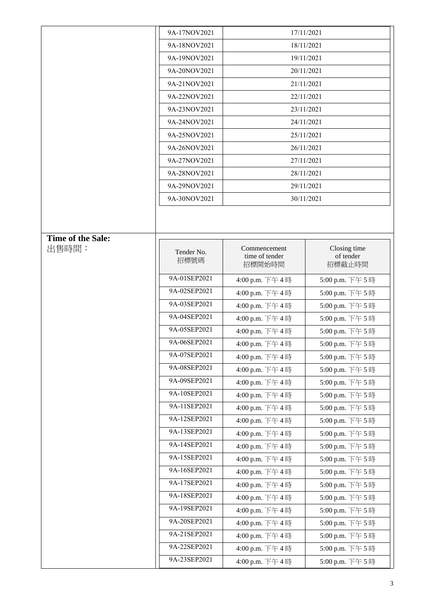|                   | 9A-17NOV2021 |                                | 17/11/2021                |
|-------------------|--------------|--------------------------------|---------------------------|
|                   | 9A-18NOV2021 |                                | 18/11/2021                |
|                   | 9A-19NOV2021 |                                | 19/11/2021                |
|                   | 9A-20NOV2021 | 20/11/2021                     |                           |
|                   | 9A-21NOV2021 |                                | 21/11/2021                |
|                   | 9A-22NOV2021 |                                | 22/11/2021                |
|                   | 9A-23NOV2021 |                                | 23/11/2021                |
|                   | 9A-24NOV2021 |                                | 24/11/2021                |
|                   | 9A-25NOV2021 |                                | 25/11/2021                |
|                   | 9A-26NOV2021 |                                | 26/11/2021                |
|                   | 9A-27NOV2021 |                                | 27/11/2021                |
|                   | 9A-28NOV2021 |                                | 28/11/2021                |
|                   | 9A-29NOV2021 |                                | 29/11/2021                |
|                   | 9A-30NOV2021 |                                | 30/11/2021                |
|                   |              |                                |                           |
|                   |              |                                |                           |
| Time of the Sale: |              |                                |                           |
| 出售時間:             | Tender No.   | Commencement<br>time of tender | Closing time<br>of tender |
|                   | 招標號碼         | 招標開始時間                         | 招標截止時間                    |
|                   | 9A-01SEP2021 | 4:00 p.m. 下午4時                 | 5:00 p.m. 下午5時            |
|                   | 9A-02SEP2021 | 4:00 p.m. 下午4時                 | 5:00 p.m. 下午5時            |
|                   | 9A-03SEP2021 | 4:00 p.m. 下午4時                 | 5:00 p.m. 下午5時            |
|                   | 9A-04SEP2021 | 4:00 p.m. 下午4時                 | 5:00 p.m. 下午5時            |
|                   | 9A-05SEP2021 | 4:00 p.m. 下午4時                 | 5:00 p.m. 下午5時            |
|                   | 9A-06SEP2021 | 4:00 p.m. 下午4時                 | 5:00 p.m. 下午5時            |
|                   | 9A-07SEP2021 | 4:00 p.m. 下午4時                 | 5:00 p.m. 下午5時            |
|                   | 9A-08SEP2021 | 4:00 p.m. 下午4時                 | 5:00 p.m. 下午5時            |
|                   | 9A-09SEP2021 | 4:00 p.m. 下午4時                 | 5:00 p.m. 下午5時            |
|                   | 9A-10SEP2021 | 4:00 p.m. 下午4時                 | 5:00 p.m. 下午5時            |
|                   | 9A-11SEP2021 | 4:00 p.m. 下午4時                 | 5:00 p.m. 下午5時            |
|                   | 9A-12SEP2021 | 4:00 p.m. 下午4時                 | 5:00 p.m. 下午5時            |
|                   | 9A-13SEP2021 | 4:00 p.m. 下午4時                 | 5:00 p.m. 下午5時            |
|                   | 9A-14SEP2021 | 4:00 p.m. 下午4時                 | 5:00 p.m. 下午5時            |
|                   | 9A-15SEP2021 | 4:00 p.m. 下午4時                 | 5:00 p.m. 下午5時            |
|                   | 9A-16SEP2021 | 4:00 p.m. 下午4時                 | 5:00 p.m. 下午5時            |
|                   | 9A-17SEP2021 | 4:00 p.m. 下午4時                 | 5:00 p.m. 下午5時            |
|                   | 9A-18SEP2021 | 4:00 p.m. 下午4時                 | 5:00 p.m. 下午5時            |
|                   | 9A-19SEP2021 | 4:00 p.m. 下午4時                 | 5:00 p.m. 下午5時            |
|                   | 9A-20SEP2021 | 4:00 p.m. 下午4時                 | 5:00 p.m. 下午5時            |
|                   | 9A-21SEP2021 | 4:00 p.m. 下午4時                 | 5:00 p.m. 下午5時            |
|                   | 9A-22SEP2021 | 4:00 p.m. 下午4時                 | 5:00 p.m. 下午5時            |
|                   | 9A-23SEP2021 | 4:00 p.m. 下午4時                 | 5:00 p.m. 下午5時            |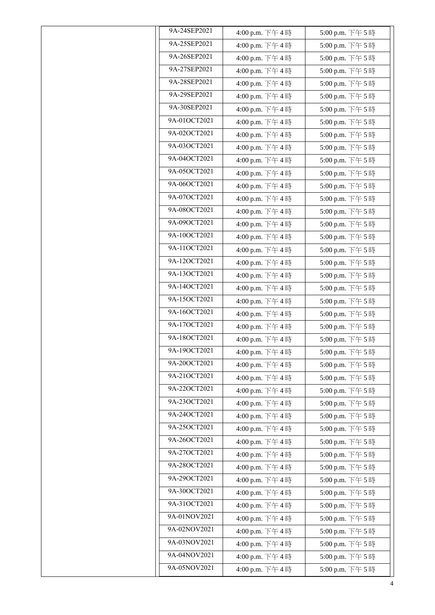| 9A-24SEP2021 | 4:00 p.m. 下午4時 | 5:00 p.m. 下午5時   |
|--------------|----------------|------------------|
| 9A-25SEP2021 | 4:00 p.m. 下午4時 | 5:00 p.m. 下午5時   |
| 9A-26SEP2021 | 4:00 p.m. 下午4時 | 5:00 p.m. 下午5時   |
| 9A-27SEP2021 | 4:00 p.m. 下午4時 | 5:00 p.m. 下午5時   |
| 9A-28SEP2021 | 4:00 p.m. 下午4時 | 5:00 p.m. 下午5時   |
| 9A-29SEP2021 | 4:00 p.m. 下午4時 | 5:00 p.m. 下午5時   |
| 9A-30SEP2021 | 4:00 p.m. 下午4時 | 5:00 p.m. 下午5時   |
| 9A-01OCT2021 | 4:00 p.m. 下午4時 | 5:00 p.m. 下午5時   |
| 9A-02OCT2021 | 4:00 p.m. 下午4時 | 5:00 p.m. 下午5時   |
| 9A-03OCT2021 | 4:00 p.m. 下午4時 | 5:00 p.m. 下午5時   |
| 9A-04OCT2021 | 4:00 p.m. 下午4時 | 5:00 p.m. 下午5時   |
| 9A-05OCT2021 | 4:00 p.m. 下午4時 | 5:00 p.m. 下午5時   |
| 9A-06OCT2021 | 4:00 p.m. 下午4時 | 5:00 p.m. 下午5時   |
| 9A-07OCT2021 | 4:00 p.m. 下午4時 | 5:00 p.m. 下午5時   |
| 9A-08OCT2021 | 4:00 p.m. 下午4時 | 5:00 p.m. 下午5時   |
| 9A-09OCT2021 | 4:00 p.m. 下午4時 | 5:00 p.m. 下午5時   |
| 9A-10OCT2021 | 4:00 p.m. 下午4時 | 5:00 p.m. 下午5時   |
| 9A-11OCT2021 | 4:00 p.m. 下午4時 | 5:00 p.m. 下午5時   |
| 9A-12OCT2021 | 4:00 p.m. 下午4時 | 5:00 p.m. 下午5時   |
| 9A-13OCT2021 | 4:00 p.m. 下午4時 | 5:00 p.m. 下午5時   |
| 9A-14OCT2021 | 4:00 p.m. 下午4時 | 5:00 p.m. 下午5時   |
| 9A-15OCT2021 | 4:00 p.m. 下午4時 | 5:00 p.m. 下午5時   |
| 9A-16OCT2021 | 4:00 p.m. 下午4時 | 5:00 p.m. 下午5時   |
| 9A-17OCT2021 | 4:00 p.m. 下午4時 | 5:00 p.m. 下午5時   |
| 9A-18OCT2021 | 4:00 p.m. 下午4時 | 5:00 p.m. 下午5時   |
| 9A-19OCT2021 | 4:00 p.m. 下午4時 | 5:00 p.m. 下午 5 時 |
| 9A-20OCT2021 | 4:00 p.m. 下午4時 | 5:00 p.m. 下午5時   |
| 9A-21OCT2021 | 4:00 p.m. 下午4時 | 5:00 p.m. 下午5時   |
| 9A-22OCT2021 | 4:00 p.m. 下午4時 | 5:00 p.m. 下午5時   |
| 9A-23OCT2021 | 4:00 p.m. 下午4時 | 5:00 p.m. 下午5時   |
| 9A-24OCT2021 | 4:00 p.m. 下午4時 | 5:00 p.m. 下午5時   |
| 9A-25OCT2021 | 4:00 p.m. 下午4時 | 5:00 p.m. 下午5時   |
| 9A-26OCT2021 | 4:00 p.m. 下午4時 | 5:00 p.m. 下午5時   |
| 9A-27OCT2021 | 4:00 p.m. 下午4時 | 5:00 p.m. 下午5時   |
| 9A-28OCT2021 | 4:00 p.m. 下午4時 | 5:00 p.m. 下午5時   |
| 9A-29OCT2021 | 4:00 p.m. 下午4時 | 5:00 p.m. 下午5時   |
| 9A-30OCT2021 | 4:00 p.m. 下午4時 | 5:00 p.m. 下午5時   |
| 9A-31OCT2021 | 4:00 p.m. 下午4時 | 5:00 p.m. 下午5時   |
| 9A-01NOV2021 | 4:00 p.m. 下午4時 | 5:00 p.m. 下午5時   |
| 9A-02NOV2021 | 4:00 p.m. 下午4時 | 5:00 p.m. 下午5時   |
| 9A-03NOV2021 | 4:00 p.m. 下午4時 | 5:00 p.m. 下午5時   |
| 9A-04NOV2021 | 4:00 p.m. 下午4時 | 5:00 p.m. 下午5時   |
| 9A-05NOV2021 | 4:00 p.m. 下午4時 | 5:00 p.m. 下午5時   |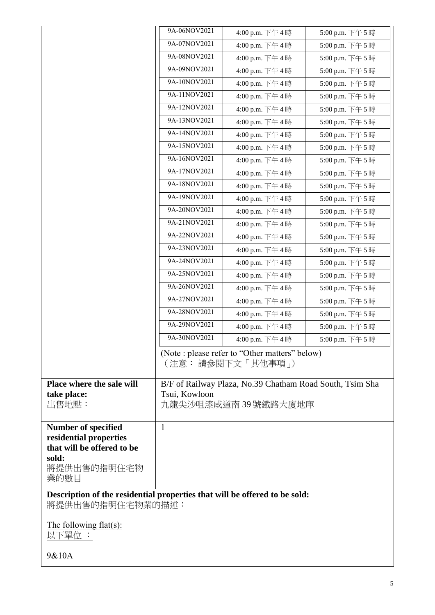|                                                                            | 9A-06NOV2021  | 4:00 p.m. 下午4時                                           | 5:00 p.m. 下午5時 |
|----------------------------------------------------------------------------|---------------|----------------------------------------------------------|----------------|
|                                                                            | 9A-07NOV2021  | 4:00 p.m. 下午4時                                           | 5:00 p.m. 下午5時 |
|                                                                            | 9A-08NOV2021  | 4:00 p.m. 下午4時                                           | 5:00 p.m. 下午5時 |
|                                                                            | 9A-09NOV2021  | 4:00 p.m. 下午4時                                           | 5:00 p.m. 下午5時 |
|                                                                            | 9A-10NOV2021  | 4:00 p.m. 下午4時                                           | 5:00 p.m. 下午5時 |
|                                                                            | 9A-11NOV2021  | 4:00 p.m. 下午4時                                           | 5:00 p.m. 下午5時 |
|                                                                            | 9A-12NOV2021  | 4:00 p.m. 下午4時                                           | 5:00 p.m. 下午5時 |
|                                                                            | 9A-13NOV2021  | 4:00 p.m. 下午4時                                           | 5:00 p.m. 下午5時 |
|                                                                            | 9A-14NOV2021  | 4:00 p.m. 下午4時                                           | 5:00 p.m. 下午5時 |
|                                                                            | 9A-15NOV2021  | 4:00 p.m. 下午4時                                           | 5:00 p.m. 下午5時 |
|                                                                            | 9A-16NOV2021  | 4:00 p.m. 下午4時                                           | 5:00 p.m. 下午5時 |
|                                                                            | 9A-17NOV2021  | 4:00 p.m. 下午4時                                           | 5:00 p.m. 下午5時 |
|                                                                            | 9A-18NOV2021  | 4:00 p.m. 下午4時                                           | 5:00 p.m. 下午5時 |
|                                                                            | 9A-19NOV2021  | 4:00 p.m. 下午4時                                           | 5:00 p.m. 下午5時 |
|                                                                            | 9A-20NOV2021  | 4:00 p.m. 下午4時                                           | 5:00 p.m. 下午5時 |
|                                                                            | 9A-21NOV2021  | 4:00 p.m. 下午4時                                           | 5:00 p.m. 下午5時 |
|                                                                            | 9A-22NOV2021  | 4:00 p.m. 下午4時                                           | 5:00 p.m. 下午5時 |
|                                                                            | 9A-23NOV2021  | 4:00 p.m. 下午4時                                           | 5:00 p.m. 下午5時 |
|                                                                            | 9A-24NOV2021  | 4:00 p.m. 下午4時                                           | 5:00 p.m. 下午5時 |
|                                                                            | 9A-25NOV2021  | 4:00 p.m. 下午4時                                           | 5:00 p.m. 下午5時 |
|                                                                            | 9A-26NOV2021  | 4:00 p.m. 下午4時                                           | 5:00 p.m. 下午5時 |
|                                                                            | 9A-27NOV2021  | 4:00 p.m. 下午4時                                           | 5:00 p.m. 下午5時 |
|                                                                            | 9A-28NOV2021  | 4:00 p.m. 下午4時                                           | 5:00 p.m. 下午5時 |
|                                                                            | 9A-29NOV2021  | 4:00 p.m. 下午4時                                           | 5:00 p.m. 下午5時 |
|                                                                            | 9A-30NOV2021  | 4:00 p.m. 下午4時                                           | 5:00 p.m. 下午5時 |
|                                                                            |               | (Note : please refer to "Other matters" below)           |                |
|                                                                            |               | (注意: 請參閱下文「其他事項」)                                        |                |
| Place where the sale will                                                  |               | B/F of Railway Plaza, No.39 Chatham Road South, Tsim Sha |                |
| take place:                                                                | Tsui, Kowloon |                                                          |                |
| 出售地點:                                                                      |               | 九龍尖沙咀漆咸道南 39 號鐵路大廈地庫                                     |                |
|                                                                            |               |                                                          |                |
| <b>Number of specified</b><br>residential properties                       | 1             |                                                          |                |
| that will be offered to be                                                 |               |                                                          |                |
| sold:                                                                      |               |                                                          |                |
| 將提供出售的指明住宅物                                                                |               |                                                          |                |
| 業的數目                                                                       |               |                                                          |                |
| Description of the residential properties that will be offered to be sold: |               |                                                          |                |
| 將提供出售的指明住宅物業的描述:                                                           |               |                                                          |                |
| The following flat(s):                                                     |               |                                                          |                |
| 以下單位 :                                                                     |               |                                                          |                |
|                                                                            |               |                                                          |                |
| 9&10A                                                                      |               |                                                          |                |

 $\mathsf{l}$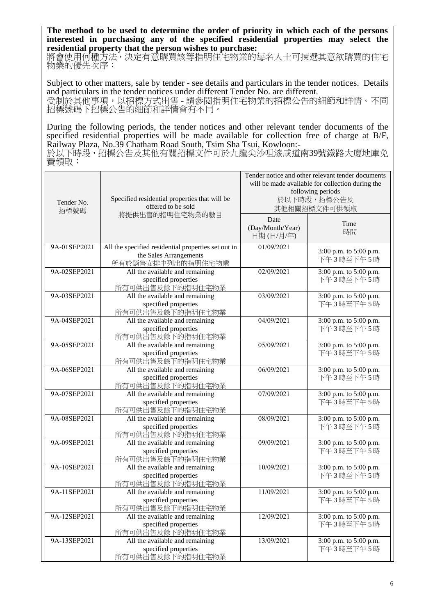**The method to be used to determine the order of priority in which each of the persons interested in purchasing any of the specified residential properties may select the residential property that the person wishes to purchase:** 

將會使用何種方法,決定有意購買該等指明住宅物業的每名人士可揀選其意欲購買的住宅 物業的優先次序:

Subject to other matters, sale by tender - see details and particulars in the tender notices. Details and particulars in the tender notices under different Tender No. are different. 受制於其他事項,以招標方式出售 - 請參閱指明住宅物業的招標公告的細節和詳情。不同 招標號碼下招標公告的細節和詳情會有不同。

During the following periods, the tender notices and other relevant tender documents of the specified residential properties will be made available for collection free of charge at B/F, Railway Plaza, No.39 Chatham Road South, Tsim Sha Tsui, Kowloon:-

於以下時段,招標公告及其他有關招標文件可於九龍尖沙咀漆咸道南39號鐵路大廈地庫免 費領取:

| Tender No.<br>招標號碼 | Specified residential properties that will be<br>offered to be sold                                | Tender notice and other relevant tender documents<br>will be made available for collection during the<br>following periods<br>於以下時段,招標公告及<br>其他相關招標文件可供領取 |                                     |
|--------------------|----------------------------------------------------------------------------------------------------|-----------------------------------------------------------------------------------------------------------------------------------------------------------|-------------------------------------|
|                    | 將提供出售的指明住宅物業的數目                                                                                    | Date<br>(Day/Month/Year)<br>日期(日/月/年)                                                                                                                     | Time<br>時間                          |
| 9A-01SEP2021       | All the specified residential properties set out in<br>the Sales Arrangements<br>所有於銷售安排中列出的指明住宅物業 | 01/09/2021                                                                                                                                                | 3:00 p.m. to 5:00 p.m.<br>下午3時至下午5時 |
| 9A-02SEP2021       | All the available and remaining<br>specified properties<br>所有可供出售及餘下的指明住宅物業                        | 02/09/2021                                                                                                                                                | 3:00 p.m. to 5:00 p.m.<br>下午3時至下午5時 |
| 9A-03SEP2021       | All the available and remaining<br>specified properties<br>所有可供出售及餘下的指明住宅物業                        | 03/09/2021                                                                                                                                                | 3:00 p.m. to 5:00 p.m.<br>下午3時至下午5時 |
| 9A-04SEP2021       | All the available and remaining<br>specified properties<br>所有可供出售及餘下的指明住宅物業                        | 04/09/2021                                                                                                                                                | 3:00 p.m. to 5:00 p.m.<br>下午3時至下午5時 |
| 9A-05SEP2021       | All the available and remaining<br>specified properties<br>所有可供出售及餘下的指明住宅物業                        | 05/09/2021                                                                                                                                                | 3:00 p.m. to 5:00 p.m.<br>下午3時至下午5時 |
| 9A-06SEP2021       | All the available and remaining<br>specified properties<br>所有可供出售及餘下的指明住宅物業                        | 06/09/2021                                                                                                                                                | 3:00 p.m. to 5:00 p.m.<br>下午3時至下午5時 |
| 9A-07SEP2021       | All the available and remaining<br>specified properties<br>所有可供出售及餘下的指明住宅物業                        | 07/09/2021                                                                                                                                                | 3:00 p.m. to 5:00 p.m.<br>下午3時至下午5時 |
| 9A-08SEP2021       | All the available and remaining<br>specified properties<br>所有可供出售及餘下的指明住宅物業                        | 08/09/2021                                                                                                                                                | 3:00 p.m. to 5:00 p.m.<br>下午3時至下午5時 |
| 9A-09SEP2021       | All the available and remaining<br>specified properties<br>所有可供出售及餘下的指明住宅物業                        | 09/09/2021                                                                                                                                                | 3:00 p.m. to 5:00 p.m.<br>下午3時至下午5時 |
| 9A-10SEP2021       | All the available and remaining<br>specified properties<br>所有可供出售及餘下的指明住宅物業                        | 10/09/2021                                                                                                                                                | 3:00 p.m. to 5:00 p.m.<br>下午3時至下午5時 |
| 9A-11SEP2021       | All the available and remaining<br>specified properties<br>所有可供出售及餘下的指明住宅物業                        | 11/09/2021                                                                                                                                                | 3:00 p.m. to 5:00 p.m.<br>下午3時至下午5時 |
| 9A-12SEP2021       | All the available and remaining<br>specified properties<br>所有可供出售及餘下的指明住宅物業                        | 12/09/2021                                                                                                                                                | 3:00 p.m. to 5:00 p.m.<br>下午3時至下午5時 |
| 9A-13SEP2021       | All the available and remaining<br>specified properties<br>所有可供出售及餘下的指明住宅物業                        | 13/09/2021                                                                                                                                                | 3:00 p.m. to 5:00 p.m.<br>下午3時至下午5時 |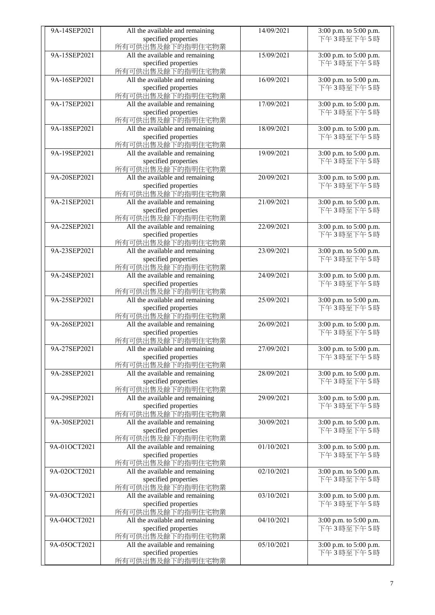| 9A-14SEP2021 | All the available and remaining | 14/09/2021 | 3:00 p.m. to 5:00 p.m. |
|--------------|---------------------------------|------------|------------------------|
|              | specified properties            |            | 下午3時至下午5時              |
|              |                                 |            |                        |
|              | 所有可供出售及餘下的指明住宅物業                |            |                        |
| 9A-15SEP2021 | All the available and remaining | 15/09/2021 | 3:00 p.m. to 5:00 p.m. |
|              | specified properties            |            | 下午3時至下午5時              |
|              | 所有可供出售及餘下的指明住宅物業                |            |                        |
| 9A-16SEP2021 | All the available and remaining | 16/09/2021 | 3:00 p.m. to 5:00 p.m. |
|              | specified properties            |            | 下午3時至下午5時              |
|              | 所有可供出售及餘下的指明住宅物業                |            |                        |
| 9A-17SEP2021 |                                 | 17/09/2021 |                        |
|              | All the available and remaining |            | 3:00 p.m. to 5:00 p.m. |
|              | specified properties            |            | 下午3時至下午5時              |
|              | 所有可供出售及餘下的指明住宅物業                |            |                        |
| 9A-18SEP2021 | All the available and remaining | 18/09/2021 | 3:00 p.m. to 5:00 p.m. |
|              | specified properties            |            | 下午3時至下午5時              |
|              | 所有可供出售及餘下的指明住宅物業                |            |                        |
| 9A-19SEP2021 | All the available and remaining | 19/09/2021 | 3:00 p.m. to 5:00 p.m. |
|              |                                 |            |                        |
|              | specified properties            |            | 下午3時至下午5時              |
|              | 所有可供出售及餘下的指明住宅物業                |            |                        |
| 9A-20SEP2021 | All the available and remaining | 20/09/2021 | 3:00 p.m. to 5:00 p.m. |
|              | specified properties            |            | 下午3時至下午5時              |
|              | 所有可供出售及餘下的指明住宅物業                |            |                        |
| 9A-21SEP2021 | All the available and remaining | 21/09/2021 | 3:00 p.m. to 5:00 p.m. |
|              | specified properties            |            | 下午3時至下午5時              |
|              |                                 |            |                        |
|              | 所有可供出售及餘下的指明住宅物業                |            |                        |
| 9A-22SEP2021 | All the available and remaining | 22/09/2021 | 3:00 p.m. to 5:00 p.m. |
|              | specified properties            |            | 下午3時至下午5時              |
|              | 所有可供出售及餘下的指明住宅物業                |            |                        |
| 9A-23SEP2021 | All the available and remaining | 23/09/2021 | 3:00 p.m. to 5:00 p.m. |
|              | specified properties            |            | 下午3時至下午5時              |
|              | 所有可供出售及餘下的指明住宅物業                |            |                        |
|              |                                 |            |                        |
| 9A-24SEP2021 | All the available and remaining | 24/09/2021 | 3:00 p.m. to 5:00 p.m. |
|              | specified properties            |            | 下午3時至下午5時              |
|              | 所有可供出售及餘下的指明住宅物業                |            |                        |
| 9A-25SEP2021 | All the available and remaining | 25/09/2021 | 3:00 p.m. to 5:00 p.m. |
|              | specified properties            |            | 下午3時至下午5時              |
|              | 所有可供出售及餘下的指明住宅物業                |            |                        |
| 9A-26SEP2021 | All the available and remaining | 26/09/2021 | 3:00 p.m. to 5:00 p.m. |
|              |                                 |            | 下午3時至下午5時              |
|              | specified properties            |            |                        |
|              | 所有可供出售及餘下的指明住宅物業                |            |                        |
| 9A-27SEP2021 | All the available and remaining | 27/09/2021 | 3:00 p.m. to 5:00 p.m. |
|              | specified properties            |            | 下午3時至下午5時              |
|              | 所有可供出售及餘下的指明住宅物業                |            |                        |
| 9A-28SEP2021 | All the available and remaining | 28/09/2021 | 3:00 p.m. to 5:00 p.m. |
|              | specified properties            |            | 下午3時至下午5時              |
|              |                                 |            |                        |
|              | 所有可供出售及餘下的指明住宅物業                |            |                        |
| 9A-29SEP2021 | All the available and remaining | 29/09/2021 | 3:00 p.m. to 5:00 p.m. |
|              | specified properties            |            | 下午3時至下午5時              |
|              | 所有可供出售及餘下的指明住宅物業                |            |                        |
| 9A-30SEP2021 | All the available and remaining | 30/09/2021 | 3:00 p.m. to 5:00 p.m. |
|              | specified properties            |            | 下午3時至下午5時              |
|              | 所有可供出售及餘下的指明住宅物業                |            |                        |
| 9A-01OCT2021 | All the available and remaining | 01/10/2021 | 3:00 p.m. to 5:00 p.m. |
|              |                                 |            |                        |
|              | specified properties            |            | 下午3時至下午5時              |
|              | 所有可供出售及餘下的指明住宅物業                |            |                        |
| 9A-02OCT2021 | All the available and remaining | 02/10/2021 | 3:00 p.m. to 5:00 p.m. |
|              | specified properties            |            | 下午3時至下午5時              |
|              | 所有可供出售及餘下的指明住宅物業                |            |                        |
| 9A-03OCT2021 | All the available and remaining | 03/10/2021 | 3:00 p.m. to 5:00 p.m. |
|              | specified properties            |            | 下午3時至下午5時              |
|              |                                 |            |                        |
|              | 所有可供出售及餘下的指明住宅物業                |            |                        |
| 9A-04OCT2021 | All the available and remaining | 04/10/2021 | 3:00 p.m. to 5:00 p.m. |
|              | specified properties            |            | 下午3時至下午5時              |
|              | 所有可供出售及餘下的指明住宅物業                |            |                        |
| 9A-05OCT2021 | All the available and remaining | 05/10/2021 | 3:00 p.m. to 5:00 p.m. |
|              | specified properties            |            | 下午3時至下午5時              |
|              | 所有可供出售及餘下的指明住宅物業                |            |                        |
|              |                                 |            |                        |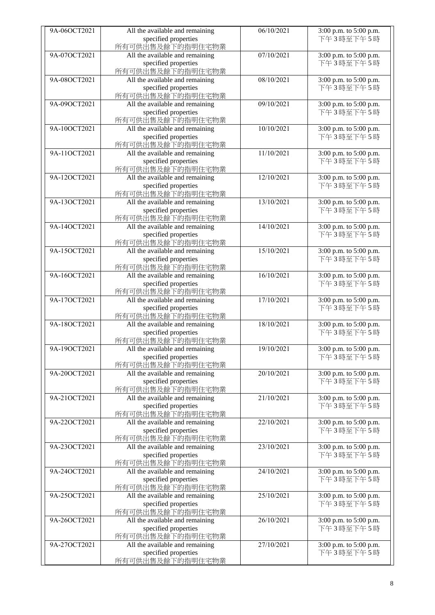| 9A-06OCT2021 | All the available and remaining | 06/10/2021 | 3:00 p.m. to 5:00 p.m.              |
|--------------|---------------------------------|------------|-------------------------------------|
|              | specified properties            |            | 下午3時至下午5時                           |
|              | 所有可供出售及餘下的指明住宅物業                |            |                                     |
| 9A-07OCT2021 | All the available and remaining | 07/10/2021 |                                     |
|              |                                 |            | 3:00 p.m. to 5:00 p.m.<br>下午3時至下午5時 |
|              | specified properties            |            |                                     |
|              | 所有可供出售及餘下的指明住宅物業                |            |                                     |
| 9A-08OCT2021 | All the available and remaining | 08/10/2021 | 3:00 p.m. to 5:00 p.m.              |
|              | specified properties            |            | 下午3時至下午5時                           |
|              | 所有可供出售及餘下的指明住宅物業                |            |                                     |
| 9A-09OCT2021 | All the available and remaining | 09/10/2021 | 3:00 p.m. to 5:00 p.m.              |
|              | specified properties            |            | 下午3時至下午5時                           |
|              | 所有可供出售及餘下的指明住宅物業                |            |                                     |
| 9A-10OCT2021 | All the available and remaining | 10/10/2021 | 3:00 p.m. to 5:00 p.m.              |
|              | specified properties            |            | 下午3時至下午5時                           |
|              | 所有可供出售及餘下的指明住宅物業                |            |                                     |
| 9A-11OCT2021 | All the available and remaining | 11/10/2021 | 3:00 p.m. to 5:00 p.m.              |
|              | specified properties            |            | 下午3時至下午5時                           |
|              | 所有可供出售及餘下的指明住宅物業                |            |                                     |
| 9A-12OCT2021 | All the available and remaining | 12/10/2021 |                                     |
|              |                                 |            | 3:00 p.m. to 5:00 p.m.              |
|              | specified properties            |            | 下午3時至下午5時                           |
|              | 所有可供出售及餘下的指明住宅物業                |            |                                     |
| 9A-13OCT2021 | All the available and remaining | 13/10/2021 | 3:00 p.m. to 5:00 p.m.              |
|              | specified properties            |            | 下午3時至下午5時                           |
|              | 所有可供出售及餘下的指明住宅物業                |            |                                     |
| 9A-14OCT2021 | All the available and remaining | 14/10/2021 | 3:00 p.m. to 5:00 p.m.              |
|              | specified properties            |            | 下午3時至下午5時                           |
|              | 所有可供出售及餘下的指明住宅物業                |            |                                     |
| 9A-15OCT2021 | All the available and remaining | 15/10/2021 | 3:00 p.m. to 5:00 p.m.              |
|              | specified properties            |            | 下午3時至下午5時                           |
|              | 所有可供出售及餘下的指明住宅物業                |            |                                     |
| 9A-16OCT2021 | All the available and remaining | 16/10/2021 | 3:00 p.m. to 5:00 p.m.              |
|              | specified properties            |            | 下午3時至下午5時                           |
|              | 所有可供出售及餘下的指明住宅物業                |            |                                     |
| 9A-17OCT2021 |                                 | 17/10/2021 |                                     |
|              | All the available and remaining |            | 3:00 p.m. to 5:00 p.m.              |
|              | specified properties            |            | 下午3時至下午5時                           |
|              | 所有可供出售及餘下的指明住宅物業                |            |                                     |
| 9A-18OCT2021 | All the available and remaining | 18/10/2021 | 3:00 p.m. to 5:00 p.m.              |
|              | specified properties            |            | 下午3時至下午5時                           |
|              | 所有可供出售及餘下的指明住宅物業                |            |                                     |
| 9A-19OCT2021 | All the available and remaining | 19/10/2021 | 3:00 p.m. to 5:00 p.m.              |
|              | specified properties            |            | 下午3時至下午5時                           |
|              | 所有可供出售及餘下的指明住宅物業                |            |                                     |
| 9A-20OCT2021 | All the available and remaining | 20/10/2021 | 3:00 p.m. to 5:00 p.m.              |
|              | specified properties            |            | 下午3時至下午5時                           |
|              | 所有可供出售及餘下的指明住宅物業                |            |                                     |
| 9A-21OCT2021 | All the available and remaining | 21/10/2021 | 3:00 p.m. to 5:00 p.m.              |
|              | specified properties            |            | 下午3時至下午5時                           |
|              | 所有可供出售及餘下的指明住宅物業                |            |                                     |
| 9A-22OCT2021 | All the available and remaining | 22/10/2021 | 3:00 p.m. to 5:00 p.m.              |
|              | specified properties            |            | 下午3時至下午5時                           |
|              | 所有可供出售及餘下的指明住宅物業                |            |                                     |
| 9A-23OCT2021 | All the available and remaining | 23/10/2021 |                                     |
|              |                                 |            | 3:00 p.m. to 5:00 p.m.              |
|              | specified properties            |            | 下午3時至下午5時                           |
|              | 所有可供出售及餘下的指明住宅物業                |            |                                     |
| 9A-24OCT2021 | All the available and remaining | 24/10/2021 | 3:00 p.m. to 5:00 p.m.              |
|              | specified properties            |            | 下午3時至下午5時                           |
|              | 所有可供出售及餘下的指明住宅物業                |            |                                     |
| 9A-25OCT2021 | All the available and remaining | 25/10/2021 | 3:00 p.m. to 5:00 p.m.              |
|              | specified properties            |            | 下午3時至下午5時                           |
|              | 所有可供出售及餘下的指明住宅物業                |            |                                     |
| 9A-26OCT2021 | All the available and remaining | 26/10/2021 | 3:00 p.m. to 5:00 p.m.              |
|              | specified properties            |            | 下午3時至下午5時                           |
|              | 所有可供出售及餘下的指明住宅物業                |            |                                     |
| 9A-27OCT2021 | All the available and remaining | 27/10/2021 | 3:00 p.m. to 5:00 p.m.              |
|              | specified properties            |            | 下午3時至下午5時                           |
|              | 所有可供出售及餘下的指明住宅物業                |            |                                     |
|              |                                 |            |                                     |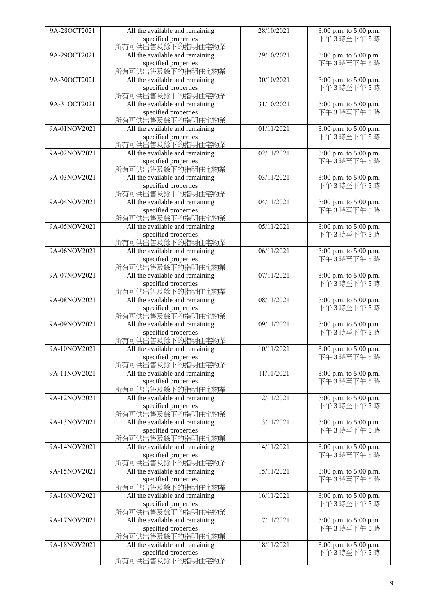| 9A-28OCT2021 | All the available and remaining | 28/10/2021 | 3:00 p.m. to 5:00 p.m. |
|--------------|---------------------------------|------------|------------------------|
|              | specified properties            |            | 下午3時至下午5時              |
|              | 所有可供出售及餘下的指明住宅物業                |            |                        |
| 9A-29OCT2021 | All the available and remaining | 29/10/2021 | 3:00 p.m. to 5:00 p.m. |
|              | specified properties            |            | 下午3時至下午5時              |
|              | 所有可供出售及餘下的指明住宅物業                |            |                        |
| 9A-30OCT2021 |                                 | 30/10/2021 |                        |
|              | All the available and remaining |            | 3:00 p.m. to 5:00 p.m. |
|              | specified properties            |            | 下午3時至下午5時              |
|              | 所有可供出售及餘下的指明住宅物業                |            |                        |
| 9A-31OCT2021 | All the available and remaining | 31/10/2021 | 3:00 p.m. to 5:00 p.m. |
|              | specified properties            |            | 下午3時至下午5時              |
|              | 所有可供出售及餘下的指明住宅物業                |            |                        |
| 9A-01NOV2021 | All the available and remaining | 01/11/2021 | 3:00 p.m. to 5:00 p.m. |
|              | specified properties            |            | 下午3時至下午5時              |
|              | 所有可供出售及餘下的指明住宅物業                |            |                        |
| 9A-02NOV2021 | All the available and remaining | 02/11/2021 | 3:00 p.m. to 5:00 p.m. |
|              | specified properties            |            | 下午3時至下午5時              |
|              | 所有可供出售及餘下的指明住宅物業                |            |                        |
| 9A-03NOV2021 | All the available and remaining | 03/11/2021 | 3:00 p.m. to 5:00 p.m. |
|              | specified properties            |            | 下午3時至下午5時              |
|              | 所有可供出售及餘下的指明住宅物業                |            |                        |
| 9A-04NOV2021 | All the available and remaining | 04/11/2021 | 3:00 p.m. to 5:00 p.m. |
|              | specified properties            |            | 下午3時至下午5時              |
|              | 所有可供出售及餘下的指明住宅物業                |            |                        |
| 9A-05NOV2021 | All the available and remaining | 05/11/2021 | 3:00 p.m. to 5:00 p.m. |
|              | specified properties            |            | 下午3時至下午5時              |
|              | 所有可供出售及餘下的指明住宅物業                |            |                        |
| 9A-06NOV2021 | All the available and remaining | 06/11/2021 | 3:00 p.m. to 5:00 p.m. |
|              | specified properties            |            | 下午3時至下午5時              |
|              | 所有可供出售及餘下的指明住宅物業                |            |                        |
| 9A-07NOV2021 | All the available and remaining | 07/11/2021 | 3:00 p.m. to 5:00 p.m. |
|              | specified properties            |            | 下午3時至下午5時              |
|              | 所有可供出售及餘下的指明住宅物業                |            |                        |
| 9A-08NOV2021 | All the available and remaining | 08/11/2021 | 3:00 p.m. to 5:00 p.m. |
|              | specified properties            |            | 下午3時至下午5時              |
|              | 所有可供出售及餘下的指明住宅物業                |            |                        |
| 9A-09NOV2021 | All the available and remaining | 09/11/2021 | 3:00 p.m. to 5:00 p.m. |
|              | specified properties            |            | 下午3時至下午5時              |
|              | 所有可供出售及餘下的指明住宅物業                |            |                        |
| 9A-10NOV2021 | All the available and remaining | 10/11/2021 | 3:00 p.m. to 5:00 p.m. |
|              | specified properties            |            | 下午3時至下午5時              |
|              | 所有可供出售及餘下的指明住宅物業                |            |                        |
| 9A-11NOV2021 | All the available and remaining | 11/11/2021 | 3:00 p.m. to 5:00 p.m. |
|              | specified properties            |            | 下午3時至下午5時              |
|              | 所有可供出售及餘下的指明住宅物業                |            |                        |
|              |                                 |            |                        |
| 9A-12NOV2021 | All the available and remaining | 12/11/2021 | 3:00 p.m. to 5:00 p.m. |
|              | specified properties            |            | 下午3時至下午5時              |
|              | 所有可供出售及餘下的指明住宅物業                |            |                        |
| 9A-13NOV2021 | All the available and remaining | 13/11/2021 | 3:00 p.m. to 5:00 p.m. |
|              | specified properties            |            | 下午3時至下午5時              |
|              | 所有可供出售及餘下的指明住宅物業                |            |                        |
| 9A-14NOV2021 | All the available and remaining | 14/11/2021 | 3:00 p.m. to 5:00 p.m. |
|              | specified properties            |            | 下午3時至下午5時              |
|              | 所有可供出售及餘下的指明住宅物業                |            |                        |
| 9A-15NOV2021 | All the available and remaining | 15/11/2021 | 3:00 p.m. to 5:00 p.m. |
|              | specified properties            |            | 下午3時至下午5時              |
|              | 所有可供出售及餘下的指明住宅物業                |            |                        |
| 9A-16NOV2021 | All the available and remaining | 16/11/2021 | 3:00 p.m. to 5:00 p.m. |
|              | specified properties            |            | 下午3時至下午5時              |
|              | 所有可供出售及餘下的指明住宅物業                |            |                        |
| 9A-17NOV2021 | All the available and remaining | 17/11/2021 | 3:00 p.m. to 5:00 p.m. |
|              | specified properties            |            | 下午3時至下午5時              |
|              | 所有可供出售及餘下的指明住宅物業                |            |                        |
| 9A-18NOV2021 | All the available and remaining | 18/11/2021 | 3:00 p.m. to 5:00 p.m. |
|              | specified properties            |            | 下午3時至下午5時              |
|              | 所有可供出售及餘下的指明住宅物業                |            |                        |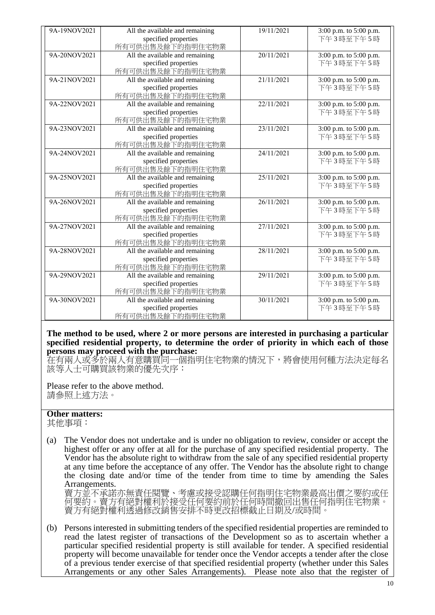| 9A-19NOV2021 | All the available and remaining | 19/11/2021 | 3:00 p.m. to 5:00 p.m. |
|--------------|---------------------------------|------------|------------------------|
|              | specified properties            |            | 下午3時至下午5時              |
|              | 所有可供出售及餘下的指明住宅物業                |            |                        |
| 9A-20NOV2021 | All the available and remaining | 20/11/2021 | 3:00 p.m. to 5:00 p.m. |
|              | specified properties            |            | 下午3時至下午5時              |
|              | 所有可供出售及餘下的指明住宅物業                |            |                        |
| 9A-21NOV2021 | All the available and remaining | 21/11/2021 | 3:00 p.m. to 5:00 p.m. |
|              | specified properties            |            | 下午3時至下午5時              |
|              | 所有可供出售及餘下的指明住宅物業                |            |                        |
| 9A-22NOV2021 | All the available and remaining | 22/11/2021 | 3:00 p.m. to 5:00 p.m. |
|              | specified properties            |            | 下午3時至下午5時              |
|              | 所有可供出售及餘下的指明住宅物業                |            |                        |
| 9A-23NOV2021 | All the available and remaining | 23/11/2021 | 3:00 p.m. to 5:00 p.m. |
|              | specified properties            |            | 下午3時至下午5時              |
|              | 所有可供出售及餘下的指明住宅物業                |            |                        |
| 9A-24NOV2021 | All the available and remaining | 24/11/2021 | 3:00 p.m. to 5:00 p.m. |
|              | specified properties            |            | 下午3時至下午5時              |
|              | 所有可供出售及餘下的指明住宅物業                |            |                        |
| 9A-25NOV2021 | All the available and remaining | 25/11/2021 | 3:00 p.m. to 5:00 p.m. |
|              | specified properties            |            | 下午3時至下午5時              |
|              | 所有可供出售及餘下的指明住宅物業                |            |                        |
| 9A-26NOV2021 | All the available and remaining | 26/11/2021 | 3:00 p.m. to 5:00 p.m. |
|              | specified properties            |            | 下午3時至下午5時              |
|              | 所有可供出售及餘下的指明住宅物業                |            |                        |
| 9A-27NOV2021 | All the available and remaining | 27/11/2021 | 3:00 p.m. to 5:00 p.m. |
|              | specified properties            |            | 下午3時至下午5時              |
|              | 所有可供出售及餘下的指明住宅物業                |            |                        |
| 9A-28NOV2021 | All the available and remaining | 28/11/2021 | 3:00 p.m. to 5:00 p.m. |
|              | specified properties            |            | 下午3時至下午5時              |
|              | 所有可供出售及餘下的指明住宅物業                |            |                        |
| 9A-29NOV2021 | All the available and remaining | 29/11/2021 | 3:00 p.m. to 5:00 p.m. |
|              | specified properties            |            | 下午3時至下午5時              |
|              | 所有可供出售及餘下的指明住宅物業                |            |                        |
| 9A-30NOV2021 | All the available and remaining | 30/11/2021 | 3:00 p.m. to 5:00 p.m. |
|              | specified properties            |            | 下午3時至下午5時              |
|              | 所有可供出售及餘下的指明住宅物業                |            |                        |

## **The method to be used, where 2 or more persons are interested in purchasing a particular specified residential property, to determine the order of priority in which each of those persons may proceed with the purchase:**

在有兩人或多於兩人有意購買同一個指明住宅物業的情況下,將會使用何種方法決定每名 該等人士可購買該物業的優先次序:

Please refer to the above method. 請參照上述方法。

## **Other matters:**

其他事項:

(a) The Vendor does not undertake and is under no obligation to review, consider or accept the highest offer or any offer at all for the purchase of any specified residential property. The Vendor has the absolute right to withdraw from the sale of any specified residential property at any time before the acceptance of any offer. The Vendor has the absolute right to change the closing date and/or time of the tender from time to time by amending the Sales Arrangements.

賣方並不承諾亦無責任閱覽、考慮或接受認購任何指明住宅物業最高出價之要約或任 何要約。賣方有絕對權利於接受任何要約前於任何時間撤回出售任何指明住宅物業。 賣方有絕對權利透過修改銷售安排不時更改招標截止日期及/或時間。

(b) Persons interested in submitting tenders of the specified residential properties are reminded to read the latest register of transactions of the Development so as to ascertain whether a particular specified residential property is still available for tender. A specified residential property will become unavailable for tender once the Vendor accepts a tender after the close of a previous tender exercise of that specified residential property (whether under this Sales Arrangements or any other Sales Arrangements). Please note also that the register of